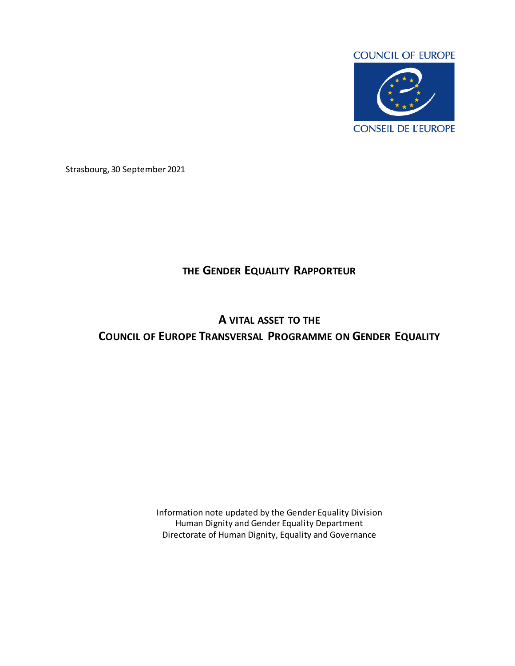

Strasbourg, 30 September 2021

## **THE GENDER EQUALITY RAPPORTEUR**

# **A VITAL ASSET TO THE COUNCIL OF EUROPE TRANSVERSAL PROGRAMME ON GENDER EQUALITY**

Information note updated by the Gender Equality Division Human Dignity and Gender Equality Department Directorate of Human Dignity, Equality and Governance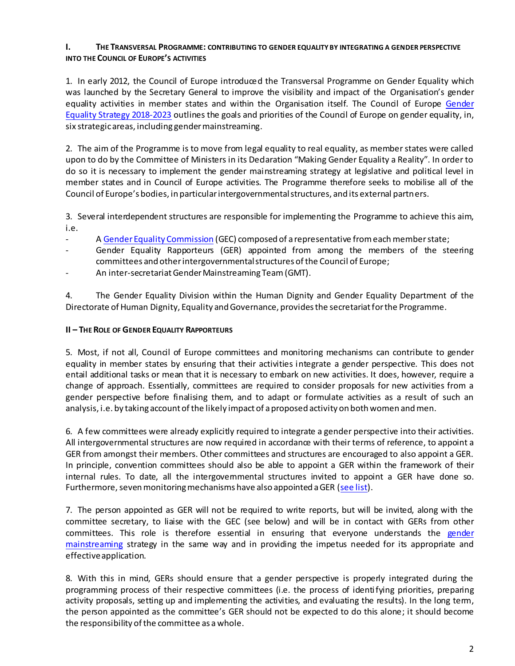### **I. THE TRANSVERSAL PROGRAMME: CONTRIBUTING TO GENDER EQUALITY BY INTEGRATING A GENDER PERSPECTIVE INTO THE COUNCIL OF EUROPE'S ACTIVITIES**

1. In early 2012, the Council of Europe introduced the Transversal Programme on Gender Equality which was launched by the Secretary General to improve the visibility and impact of the Organisation's gender equality activities in member states and within the Organisation itself. The Council of Europe [Gender](https://www.coe.int/en/web/genderequality/gender-equality-strategy)  [Equality Strategy 2018-2023](https://www.coe.int/en/web/genderequality/gender-equality-strategy) outlines the goals and priorities of the Council of Europe on gender equality, in, six strategic areas, including gender mainstreaming.

2. The aim of the Programme is to move from legal equality to real equality, as member states were called upon to do by the Committee of Ministers in its Declaration "Making Gender Equality a Reality". In order to do so it is necessary to implement the gender mainstreaming strategy at legislative and political level in member states and in Council of Europe activities. The Programme therefore seeks to mobilise all of the Council of Europe's bodies, in particular intergovernmental structures, and its external partners.

3. Several interdependent structures are responsible for implementing the Programme to achieve this aim, i.e.

- A [Gender Equality Commission](https://www.coe.int/en/web/genderequality/gender-equality-commission) (GEC) composed of a representative from each memberstate;
- Gender Equality Rapporteurs (GER) appointed from among the members of the steering committees and other intergovernmental structures of the Council of Europe;
- An inter-secretariat Gender Mainstreaming Team (GMT).

4. The Gender Equality Division within the Human Dignity and Gender Equality Department of the Directorate of Human Dignity, Equality and Governance, providesthe secretariat for the Programme.

#### **II – THE ROLE OF GENDER EQUALITY RAPPORTEURS**

5. Most, if not all, Council of Europe committees and monitoring mechanisms can contribute to gender equality in member states by ensuring that their activities integrate a gender perspective. This does not entail additional tasks or mean that it is necessary to embark on new activities. It does, however, require a change of approach. Essentially, committees are required to consider proposals for new activities from a gender perspective before finalising them, and to adapt or formulate activities as a result of such an analysis, i.e. by taking account of the likely impact of a proposed activity on both women and men.

6. A few committees were already explicitly required to integrate a gender perspective into their activities. All intergovernmental structures are now required in accordance with their terms of reference, to appoint a GER from amongst their members. Other committees and structures are encouraged to also appoint a GER. In principle, convention committees should also be able to appoint a GER within the framework of their internal rules. To date, all the intergovernmental structures invited to appoint a GER have done so. Furthermore, seven monitoring mechanisms have also appointed a GER [\(see list](https://rm.coe.int/liste-gers-2020-bilingual-002-21042021/1680a235e9)).

7. The person appointed as GER will not be required to write reports, but will be invited, along with the committee secretary, to liaise with the GEC (see below) and will be in contact with GERs from other committees. This role is therefore essential in ensuring that everyone understands the [gender](https://www.coe.int/en/web/genderequality/gender-mainstreaming)  [mainstreaming](https://www.coe.int/en/web/genderequality/gender-mainstreaming) strategy in the same way and in providing the impetus needed for its appropriate and effective application.

8. With this in mind, GERs should ensure that a gender perspective is properly integrated during the programming process of their respective committees (i.e. the process of identifying priorities, preparing activity proposals, setting up and implementing the activities, and evaluating the results). In the long term, the person appointed as the committee's GER should not be expected to do this alone; it should become the responsibility of the committee as a whole.